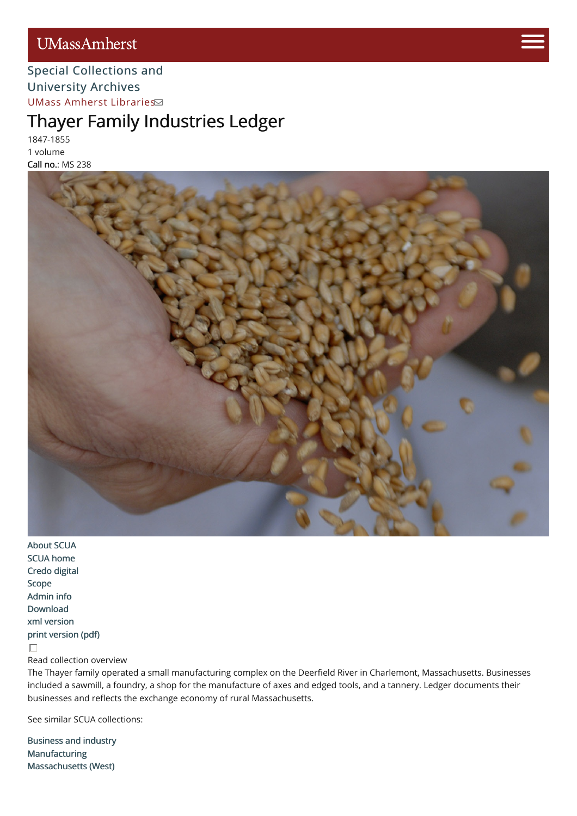## **UMassAmherst**



#### Special [Collections](http://scua.library.umass.edu) [and](https://www.umass.edu/admissions/visits/visit-campus) University Archives UMass Amherst [Librarie](http://library.umass.edu)[s](https://www.umass.edu/admissions)

# Thayer Family Industries Ledger

1847-1855 1 volume Call no.: MS 238



[About](http://scua.library.umass.edu/) SCUA SCUA [home](http://scua.library.umass.edu) [Credo](http://credo.library.umass.edu/) digital [Scope](#page-1-0) [Admin](#page-1-1) info [Download](http://scua.library.umass.edu/) xml [version](file:///tmp/mums238.xml) print [version](file:///tmp/mums238.pdf) (pdf)  $\Box$ 

Read collection overview

The Thayer family operated a small manufacturing complex on the Deerfield River in Charlemont, Massachusetts. Businesses included a sawmill, a foundry, a shop for the manufacture of axes and edged tools, and a tannery. Ledger documents their businesses and reflects the exchange economy of rural Massachusetts.

See similar SCUA collections:

[Business](http://scua.library.umass.edu/umarmot/category/business-and-industry) and industry [Manufacturing](http://scua.library.umass.edu/umarmot/category/business-and-industry/manufacturing) [Massachusetts](http://scua.library.umass.edu/umarmot/category/new-england/Massachusetts-west) (West)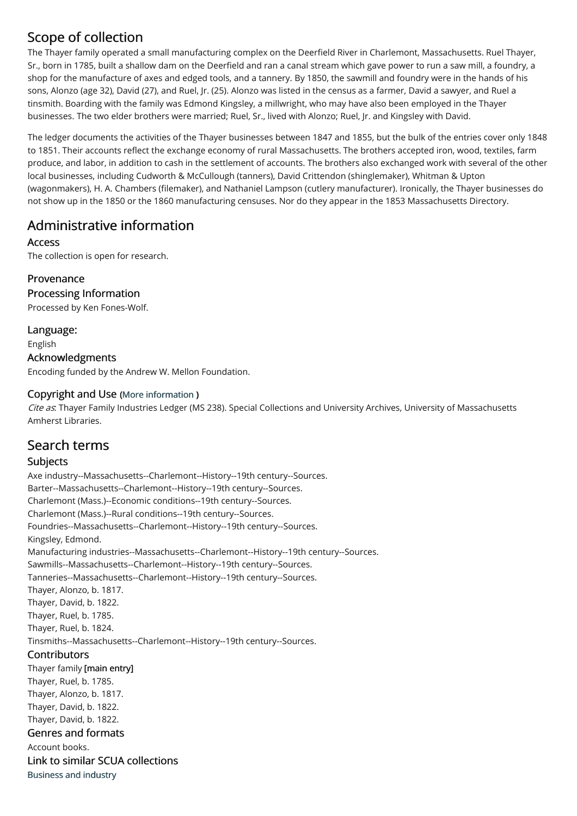### <span id="page-1-0"></span>Scope of collection

The Thayer family operated a small manufacturing complex on the Deerfield River in Charlemont, Massachusetts. Ruel Thayer, Sr., born in 1785, built a shallow dam on the Deerfield and ran a canal stream which gave power to run a saw mill, a foundry, a shop for the manufacture of axes and edged tools, and a tannery. By 1850, the sawmill and foundry were in the hands of his sons, Alonzo (age 32), David (27), and Ruel, Jr. (25). Alonzo was listed in the census as a farmer, David a sawyer, and Ruel a tinsmith. Boarding with the family was Edmond Kingsley, a millwright, who may have also been employed in the Thayer businesses. The two elder brothers were married; Ruel, Sr., lived with Alonzo; Ruel, Jr. and Kingsley with David.

The ledger documents the activities of the Thayer businesses between 1847 and 1855, but the bulk of the entries cover only 1848 to 1851. Their accounts reflect the exchange economy of rural Massachusetts. The brothers accepted iron, wood, textiles, farm produce, and labor, in addition to cash in the settlement of accounts. The brothers also exchanged work with several of the other local businesses, including Cudworth & McCullough (tanners), David Crittendon (shinglemaker), Whitman & Upton (wagonmakers), H. A. Chambers (filemaker), and Nathaniel Lampson (cutlery manufacturer). Ironically, the Thayer businesses do not show up in the 1850 or the 1860 manufacturing censuses. Nor do they appear in the 1853 Massachusetts Directory.

### <span id="page-1-1"></span>Administrative information

Access

The collection is open for research.

Provenance

Processing Information

Processed by Ken Fones-Wolf.

Language: English Acknowledgments Encoding funded by the Andrew W. Mellon Foundation.

#### Copyright and Use (More [information](http://scua.library.umass.edu/umarmot/?page_id=690) )

Cite as. Thayer Family Industries Ledger (MS 238). Special Collections and University Archives, University of Massachusetts Amherst Libraries.

### Search terms

#### Subjects

Axe industry--Massachusetts--Charlemont--History--19th century--Sources. Barter--Massachusetts--Charlemont--History--19th century--Sources. Charlemont (Mass.)--Economic conditions--19th century--Sources. Charlemont (Mass.)--Rural conditions--19th century--Sources. Foundries--Massachusetts--Charlemont--History--19th century--Sources. Kingsley, Edmond. Manufacturing industries--Massachusetts--Charlemont--History--19th century--Sources. Sawmills--Massachusetts--Charlemont--History--19th century--Sources. Tanneries--Massachusetts--Charlemont--History--19th century--Sources. Thayer, Alonzo, b. 1817. Thayer, David, b. 1822. Thayer, Ruel, b. 1785. Thayer, Ruel, b. 1824. Tinsmiths--Massachusetts--Charlemont--History--19th century--Sources. **Contributors** Thayer family [main entry] Thayer, Ruel, b. 1785. Thayer, Alonzo, b. 1817. Thayer, David, b. 1822. Thayer, David, b. 1822. Genres and formats Account books. Link to similar SCUA collections [Business](http://scua.library.umass.edu/umarmot/category/business-and-industry) and industry